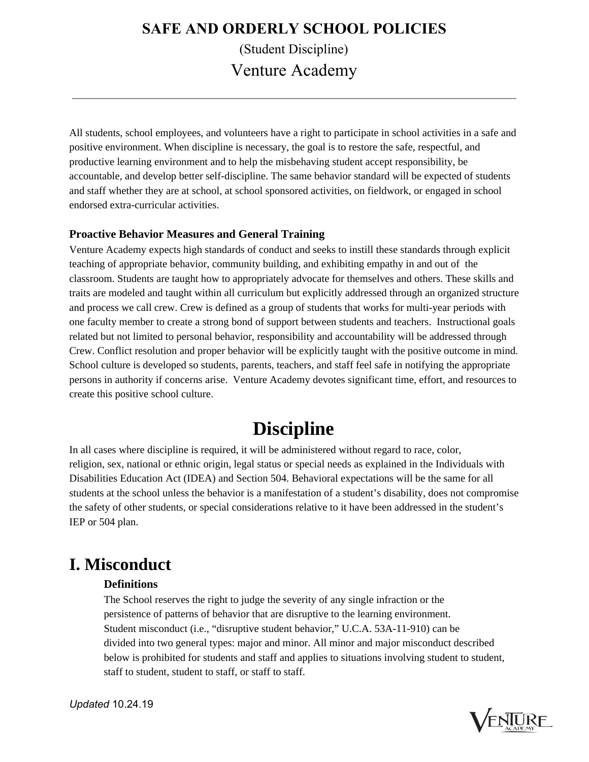All students, school employees, and volunteers have a right to participate in school activities in a safe and positive environment. When discipline is necessary, the goal is to restore the safe, respectful, and productive learning environment and to help the misbehaving student accept responsibility, be accountable, and develop better self-discipline. The same behavior standard will be expected of students and staff whether they are at school, at school sponsored activities, on fieldwork, or engaged in school endorsed extra-curricular activities.

### **Proactive Behavior Measures and General Training**

Venture Academy expects high standards of conduct and seeks to instill these standards through explicit teaching of appropriate behavior, community building, and exhibiting empathy in and out of the classroom. Students are taught how to appropriately advocate for themselves and others. These skills and traits are modeled and taught within all curriculum but explicitly addressed through an organized structure and process we call crew. Crew is defined as a group of students that works for multi-year periods with one faculty member to create a strong bond of support between students and teachers. Instructional goals related but not limited to personal behavior, responsibility and accountability will be addressed through Crew. Conflict resolution and proper behavior will be explicitly taught with the positive outcome in mind. School culture is developed so students, parents, teachers, and staff feel safe in notifying the appropriate persons in authority if concerns arise. Venture Academy devotes significant time, effort, and resources to create this positive school culture.

# **Discipline**

In all cases where discipline is required, it will be administered without regard to race, color, religion, sex, national or ethnic origin, legal status or special needs as explained in the Individuals with Disabilities Education Act (IDEA) and Section 504. Behavioral expectations will be the same for all students at the school unless the behavior is a manifestation of a student's disability, does not compromise the safety of other students, or special considerations relative to it have been addressed in the student's IEP or 504 plan.

### **I. Misconduct**

### **Definitions**

The School reserves the right to judge the severity of any single infraction or the persistence of patterns of behavior that are disruptive to the learning environment. Student misconduct (i.e., "disruptive student behavior," U.C.A. 53A-11-910) can be divided into two general types: major and minor. All minor and major misconduct described below is prohibited for students and staff and applies to situations involving student to student, staff to student, student to staff, or staff to staff.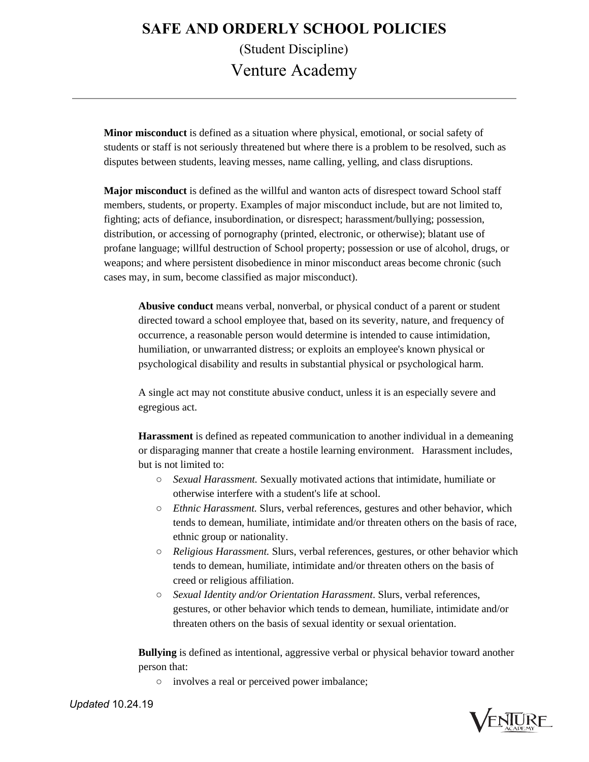**Minor misconduct** is defined as a situation where physical, emotional, or social safety of students or staff is not seriously threatened but where there is a problem to be resolved, such as disputes between students, leaving messes, name calling, yelling, and class disruptions.

**Major misconduct** is defined as the willful and wanton acts of disrespect toward School staff members, students, or property. Examples of major misconduct include, but are not limited to, fighting; acts of defiance, insubordination, or disrespect; harassment/bullying; possession, distribution, or accessing of pornography (printed, electronic, or otherwise); blatant use of profane language; willful destruction of School property; possession or use of alcohol, drugs, or weapons; and where persistent disobedience in minor misconduct areas become chronic (such cases may, in sum, become classified as major misconduct).

**Abusive conduct** means verbal, nonverbal, or physical conduct of a parent or student directed toward a school employee that, based on its severity, nature, and frequency of occurrence, a reasonable person would determine is intended to cause intimidation, humiliation, or unwarranted distress; or exploits an employee's known physical or psychological disability and results in substantial physical or psychological harm.

A single act may not constitute abusive conduct, unless it is an especially severe and egregious act.

**Harassment** is defined as repeated communication to another individual in a demeaning or disparaging manner that create a hostile learning environment. Harassment includes, but is not limited to:

- *Sexual Harassment.* Sexually motivated actions that intimidate, humiliate or otherwise interfere with a student's life at school.
- *Ethnic Harassment.* Slurs, verbal references, gestures and other behavior, which tends to demean, humiliate, intimidate and/or threaten others on the basis of race, ethnic group or nationality.
- *Religious Harassment.* Slurs, verbal references, gestures, or other behavior which tends to demean, humiliate, intimidate and/or threaten others on the basis of creed or religious affiliation.
- *Sexual Identity and/or Orientation Harassment*. Slurs, verbal references, gestures, or other behavior which tends to demean, humiliate, intimidate and/or threaten others on the basis of sexual identity or sexual orientation.

**Bullying** is defined as intentional, aggressive verbal or physical behavior toward another person that:

○ involves a real or perceived power imbalance;

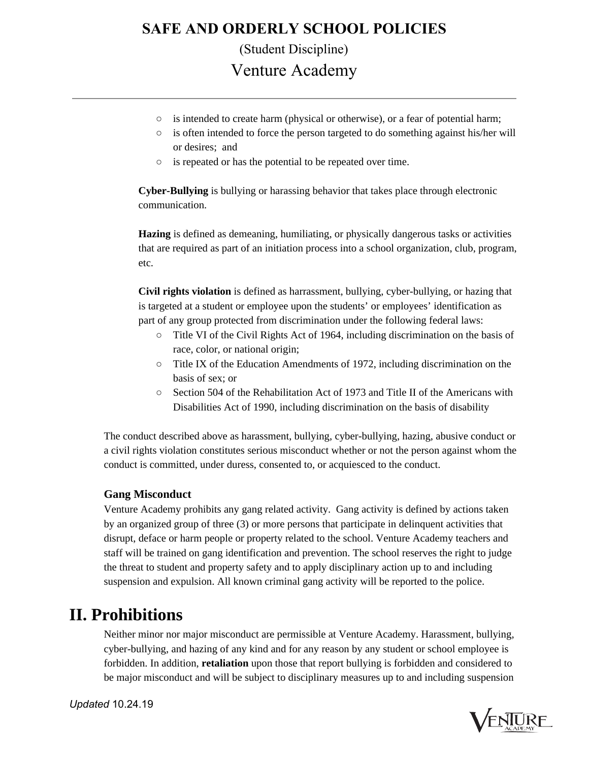- $\circ$  is intended to create harm (physical or otherwise), or a fear of potential harm;
- $\circ$  is often intended to force the person targeted to do something against his/her will or desires; and
- is repeated or has the potential to be repeated over time.

**Cyber-Bullying** is bullying or harassing behavior that takes place through electronic communication.

**Hazing** is defined as demeaning, humiliating, or physically dangerous tasks or activities that are required as part of an initiation process into a school organization, club, program, etc.

**Civil rights violation** is defined as harrassment, bullying, cyber-bullying, or hazing that is targeted at a student or employee upon the students' or employees' identification as part of any group protected from discrimination under the following federal laws:

- Title VI of the Civil Rights Act of 1964, including discrimination on the basis of race, color, or national origin;
- Title IX of the Education Amendments of 1972, including discrimination on the basis of sex; or
- Section 504 of the Rehabilitation Act of 1973 and Title II of the Americans with Disabilities Act of 1990, including discrimination on the basis of disability

The conduct described above as harassment, bullying, cyber-bullying, hazing, abusive conduct or a civil rights violation constitutes serious misconduct whether or not the person against whom the conduct is committed, under duress, consented to, or acquiesced to the conduct.

### **Gang Misconduct**

Venture Academy prohibits any gang related activity. Gang activity is defined by actions taken by an organized group of three (3) or more persons that participate in delinquent activities that disrupt, deface or harm people or property related to the school. Venture Academy teachers and staff will be trained on gang identification and prevention. The school reserves the right to judge the threat to student and property safety and to apply disciplinary action up to and including suspension and expulsion. All known criminal gang activity will be reported to the police.

### **II. Prohibitions**

Neither minor nor major misconduct are permissible at Venture Academy. Harassment, bullying, cyber-bullying, and hazing of any kind and for any reason by any student or school employee is forbidden. In addition, **retaliation** upon those that report bullying is forbidden and considered to be major misconduct and will be subject to disciplinary measures up to and including suspension

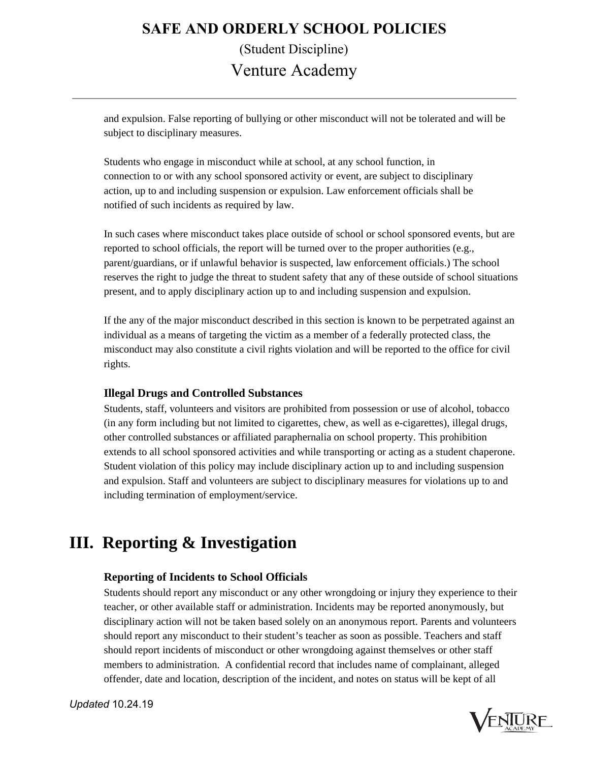and expulsion. False reporting of bullying or other misconduct will not be tolerated and will be subject to disciplinary measures.

Students who engage in misconduct while at school, at any school function, in connection to or with any school sponsored activity or event, are subject to disciplinary action, up to and including suspension or expulsion. Law enforcement officials shall be notified of such incidents as required by law.

In such cases where misconduct takes place outside of school or school sponsored events, but are reported to school officials, the report will be turned over to the proper authorities (e.g., parent/guardians, or if unlawful behavior is suspected, law enforcement officials.) The school reserves the right to judge the threat to student safety that any of these outside of school situations present, and to apply disciplinary action up to and including suspension and expulsion.

If the any of the major misconduct described in this section is known to be perpetrated against an individual as a means of targeting the victim as a member of a federally protected class, the misconduct may also constitute a civil rights violation and will be reported to the office for civil rights.

### **Illegal Drugs and Controlled Substances**

Students, staff, volunteers and visitors are prohibited from possession or use of alcohol, tobacco (in any form including but not limited to cigarettes, chew, as well as e-cigarettes), illegal drugs, other controlled substances or affiliated paraphernalia on school property. This prohibition extends to all school sponsored activities and while transporting or acting as a student chaperone. Student violation of this policy may include disciplinary action up to and including suspension and expulsion. Staff and volunteers are subject to disciplinary measures for violations up to and including termination of employment/service.

### **III. Reporting & Investigation**

### **Reporting of Incidents to School Officials**

Students should report any misconduct or any other wrongdoing or injury they experience to their teacher, or other available staff or administration. Incidents may be reported anonymously, but disciplinary action will not be taken based solely on an anonymous report. Parents and volunteers should report any misconduct to their student's teacher as soon as possible. Teachers and staff should report incidents of misconduct or other wrongdoing against themselves or other staff members to administration. A confidential record that includes name of complainant, alleged offender, date and location, description of the incident, and notes on status will be kept of all

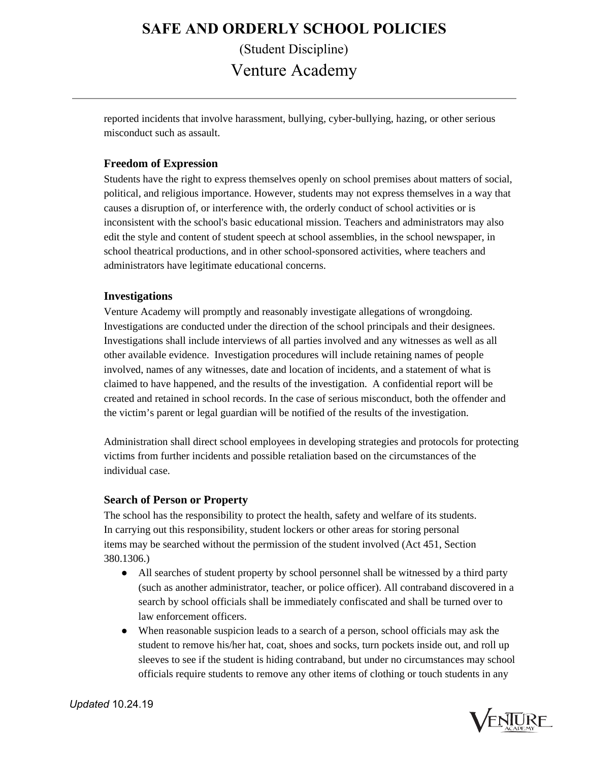reported incidents that involve harassment, bullying, cyber-bullying, hazing, or other serious misconduct such as assault.

#### **Freedom of Expression**

Students have the right to express themselves openly on school premises about matters of social, political, and religious importance. However, students may not express themselves in a way that causes a disruption of, or interference with, the orderly conduct of school activities or is inconsistent with the school's basic educational mission. Teachers and administrators may also edit the style and content of student speech at school assemblies, in the school newspaper, in school theatrical productions, and in other school-sponsored activities, where teachers and administrators have legitimate educational concerns.

#### **Investigations**

Venture Academy will promptly and reasonably investigate allegations of wrongdoing. Investigations are conducted under the direction of the school principals and their designees. Investigations shall include interviews of all parties involved and any witnesses as well as all other available evidence. Investigation procedures will include retaining names of people involved, names of any witnesses, date and location of incidents, and a statement of what is claimed to have happened, and the results of the investigation. A confidential report will be created and retained in school records. In the case of serious misconduct, both the offender and the victim's parent or legal guardian will be notified of the results of the investigation.

Administration shall direct school employees in developing strategies and protocols for protecting victims from further incidents and possible retaliation based on the circumstances of the individual case.

#### **Search of Person or Property**

The school has the responsibility to protect the health, safety and welfare of its students. In carrying out this responsibility, student lockers or other areas for storing personal items may be searched without the permission of the student involved (Act 451, Section 380.1306.)

- All searches of student property by school personnel shall be witnessed by a third party (such as another administrator, teacher, or police officer). All contraband discovered in a search by school officials shall be immediately confiscated and shall be turned over to law enforcement officers.
- When reasonable suspicion leads to a search of a person, school officials may ask the student to remove his/her hat, coat, shoes and socks, turn pockets inside out, and roll up sleeves to see if the student is hiding contraband, but under no circumstances may school officials require students to remove any other items of clothing or touch students in any

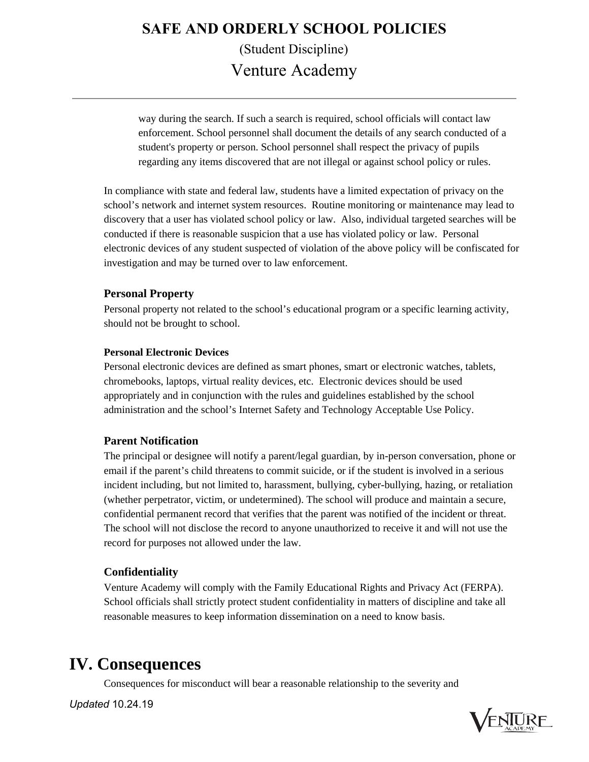way during the search. If such a search is required, school officials will contact law enforcement. School personnel shall document the details of any search conducted of a student's property or person. School personnel shall respect the privacy of pupils regarding any items discovered that are not illegal or against school policy or rules.

In compliance with state and federal law, students have a limited expectation of privacy on the school's network and internet system resources. Routine monitoring or maintenance may lead to discovery that a user has violated school policy or law. Also, individual targeted searches will be conducted if there is reasonable suspicion that a use has violated policy or law. Personal electronic devices of any student suspected of violation of the above policy will be confiscated for investigation and may be turned over to law enforcement.

#### **Personal Property**

Personal property not related to the school's educational program or a specific learning activity, should not be brought to school.

#### **Personal Electronic Devices**

Personal electronic devices are defined as smart phones, smart or electronic watches, tablets, chromebooks, laptops, virtual reality devices, etc. Electronic devices should be used appropriately and in conjunction with the rules and guidelines established by the school administration and the school's Internet Safety and Technology Acceptable Use Policy.

#### **Parent Notification**

The principal or designee will notify a parent/legal guardian, by in-person conversation, phone or email if the parent's child threatens to commit suicide, or if the student is involved in a serious incident including, but not limited to, harassment, bullying, cyber-bullying, hazing, or retaliation (whether perpetrator, victim, or undetermined). The school will produce and maintain a secure, confidential permanent record that verifies that the parent was notified of the incident or threat. The school will not disclose the record to anyone unauthorized to receive it and will not use the record for purposes not allowed under the law.

### **Confidentiality**

Venture Academy will comply with the Family Educational Rights and Privacy Act (FERPA). School officials shall strictly protect student confidentiality in matters of discipline and take all reasonable measures to keep information dissemination on a need to know basis.

### **IV. Consequences**

Consequences for misconduct will bear a reasonable relationship to the severity and

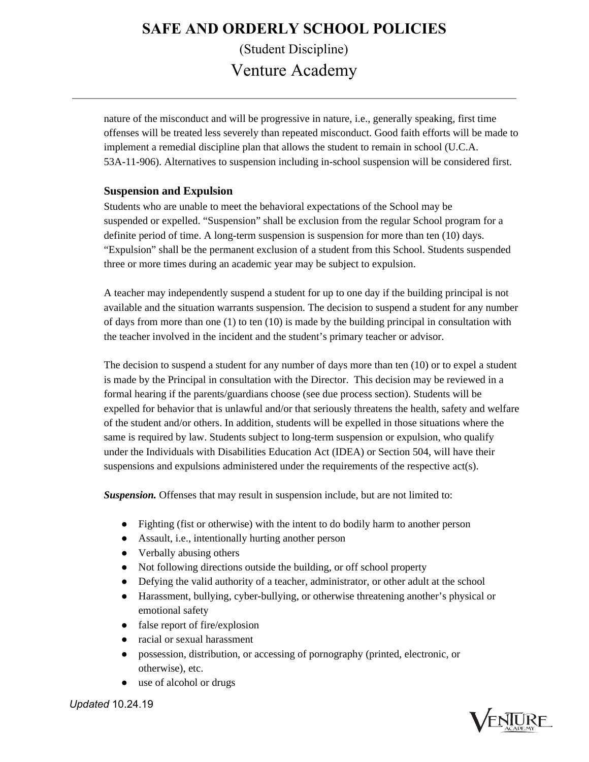nature of the misconduct and will be progressive in nature, i.e., generally speaking, first time offenses will be treated less severely than repeated misconduct. Good faith efforts will be made to implement a remedial discipline plan that allows the student to remain in school (U.C.A. 53A-11-906). Alternatives to suspension including in-school suspension will be considered first.

#### **Suspension and Expulsion**

Students who are unable to meet the behavioral expectations of the School may be suspended or expelled. "Suspension" shall be exclusion from the regular School program for a definite period of time. A long-term suspension is suspension for more than ten (10) days. "Expulsion" shall be the permanent exclusion of a student from this School. Students suspended three or more times during an academic year may be subject to expulsion.

A teacher may independently suspend a student for up to one day if the building principal is not available and the situation warrants suspension. The decision to suspend a student for any number of days from more than one (1) to ten (10) is made by the building principal in consultation with the teacher involved in the incident and the student's primary teacher or advisor.

The decision to suspend a student for any number of days more than ten (10) or to expel a student is made by the Principal in consultation with the Director. This decision may be reviewed in a formal hearing if the parents/guardians choose (see due process section). Students will be expelled for behavior that is unlawful and/or that seriously threatens the health, safety and welfare of the student and/or others. In addition, students will be expelled in those situations where the same is required by law. Students subject to long-term suspension or expulsion, who qualify under the Individuals with Disabilities Education Act (IDEA) or Section 504, will have their suspensions and expulsions administered under the requirements of the respective act(s).

*Suspension.* Offenses that may result in suspension include, but are not limited to:

- Fighting (fist or otherwise) with the intent to do bodily harm to another person
- Assault, i.e., intentionally hurting another person
- Verbally abusing others
- Not following directions outside the building, or off school property
- Defying the valid authority of a teacher, administrator, or other adult at the school
- Harassment, bullying, cyber-bullying, or otherwise threatening another's physical or emotional safety
- false report of fire/explosion
- racial or sexual harassment
- possession, distribution, or accessing of pornography (printed, electronic, or otherwise), etc.
- use of alcohol or drugs



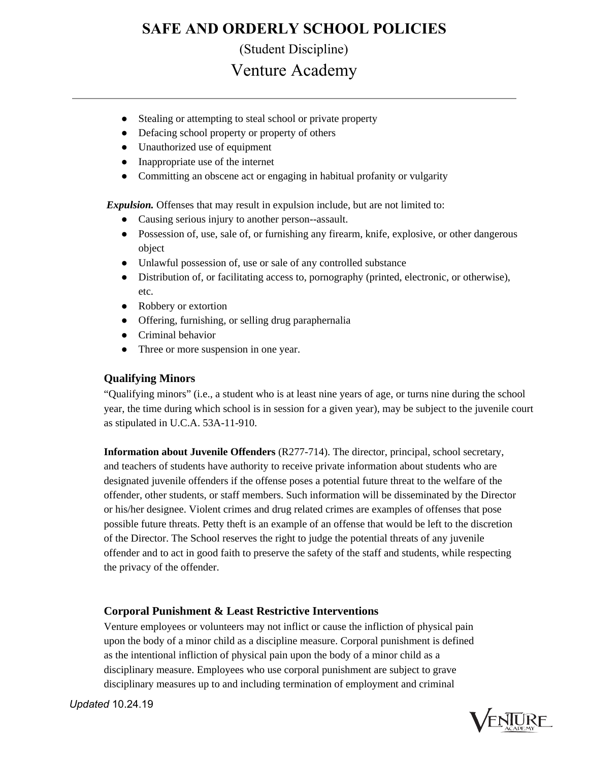### **SAFE AND ORDERLY SCHOOL POLICIES**

(Student Discipline)

Venture Academy

- Stealing or attempting to steal school or private property
- Defacing school property or property of others
- Unauthorized use of equipment
- Inappropriate use of the internet
- Committing an obscene act or engaging in habitual profanity or vulgarity

*Expulsion.* Offenses that may result in expulsion include, but are not limited to:

- Causing serious injury to another person--assault.
- Possession of, use, sale of, or furnishing any firearm, knife, explosive, or other dangerous object
- Unlawful possession of, use or sale of any controlled substance
- Distribution of, or facilitating access to, pornography (printed, electronic, or otherwise), etc.
- Robbery or extortion
- Offering, furnishing, or selling drug paraphernalia
- Criminal behavior
- Three or more suspension in one year.

### **Qualifying Minors**

"Qualifying minors" (i.e., a student who is at least nine years of age, or turns nine during the school year, the time during which school is in session for a given year), may be subject to the juvenile court as stipulated in U.C.A. 53A-11-910.

**Information about Juvenile Offenders** (R277-714). The director, principal, school secretary, and teachers of students have authority to receive private information about students who are designated juvenile offenders if the offense poses a potential future threat to the welfare of the offender, other students, or staff members. Such information will be disseminated by the Director or his/her designee. Violent crimes and drug related crimes are examples of offenses that pose possible future threats. Petty theft is an example of an offense that would be left to the discretion of the Director. The School reserves the right to judge the potential threats of any juvenile offender and to act in good faith to preserve the safety of the staff and students, while respecting the privacy of the offender.

### **Corporal Punishment & Least Restrictive Interventions**

Venture employees or volunteers may not inflict or cause the infliction of physical pain upon the body of a minor child as a discipline measure. Corporal punishment is defined as the intentional infliction of physical pain upon the body of a minor child as a disciplinary measure. Employees who use corporal punishment are subject to grave disciplinary measures up to and including termination of employment and criminal

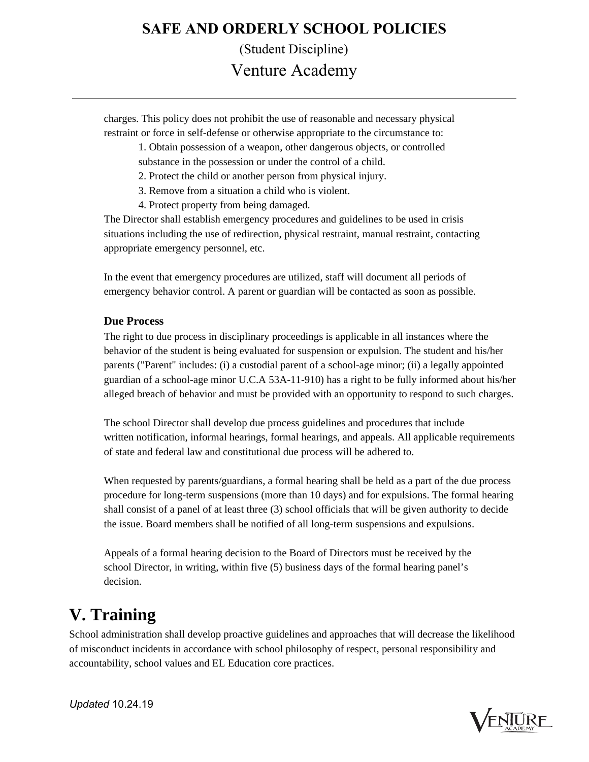charges. This policy does not prohibit the use of reasonable and necessary physical restraint or force in self-defense or otherwise appropriate to the circumstance to:

> 1. Obtain possession of a weapon, other dangerous objects, or controlled substance in the possession or under the control of a child.

2. Protect the child or another person from physical injury.

3. Remove from a situation a child who is violent.

4. Protect property from being damaged.

The Director shall establish emergency procedures and guidelines to be used in crisis situations including the use of redirection, physical restraint, manual restraint, contacting appropriate emergency personnel, etc.

In the event that emergency procedures are utilized, staff will document all periods of emergency behavior control. A parent or guardian will be contacted as soon as possible.

### **Due Process**

The right to due process in disciplinary proceedings is applicable in all instances where the behavior of the student is being evaluated for suspension or expulsion. The student and his/her parents ("Parent" includes: (i) a custodial parent of a school-age minor; (ii) a legally appointed guardian of a school-age minor U.C.A 53A-11-910) has a right to be fully informed about his/her alleged breach of behavior and must be provided with an opportunity to respond to such charges.

The school Director shall develop due process guidelines and procedures that include written notification, informal hearings, formal hearings, and appeals. All applicable requirements of state and federal law and constitutional due process will be adhered to.

When requested by parents/guardians, a formal hearing shall be held as a part of the due process procedure for long-term suspensions (more than 10 days) and for expulsions. The formal hearing shall consist of a panel of at least three (3) school officials that will be given authority to decide the issue. Board members shall be notified of all long-term suspensions and expulsions.

Appeals of a formal hearing decision to the Board of Directors must be received by the school Director, in writing, within five (5) business days of the formal hearing panel's decision.

### **V. Training**

School administration shall develop proactive guidelines and approaches that will decrease the likelihood of misconduct incidents in accordance with school philosophy of respect, personal responsibility and accountability, school values and EL Education core practices.